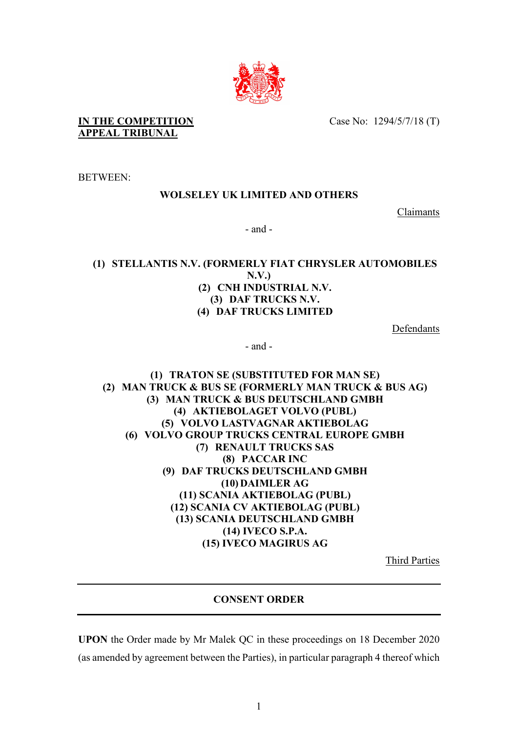

**IN THE COMPETITION APPEAL TRIBUNAL**

Case No: 1294/5/7/18 (T)

BETWEEN:

# **WOLSELEY UK LIMITED AND OTHERS**

Claimants

- and -

**(1) STELLANTIS N.V. (FORMERLY FIAT CHRYSLER AUTOMOBILES N.V.) (2) CNH INDUSTRIAL N.V. (3) DAF TRUCKS N.V. (4) DAF TRUCKS LIMITED**

Defendants

- and -

**(1) TRATON SE (SUBSTITUTED FOR MAN SE) (2) MAN TRUCK & BUS SE (FORMERLY MAN TRUCK & BUS AG) (3) MAN TRUCK & BUS DEUTSCHLAND GMBH (4) AKTIEBOLAGET VOLVO (PUBL) (5) VOLVO LASTVAGNAR AKTIEBOLAG (6) VOLVO GROUP TRUCKS CENTRAL EUROPE GMBH (7) RENAULT TRUCKS SAS (8) PACCAR INC (9) DAF TRUCKS DEUTSCHLAND GMBH (10) DAIMLER AG (11) SCANIA AKTIEBOLAG (PUBL) (12) SCANIA CV AKTIEBOLAG (PUBL) (13) SCANIA DEUTSCHLAND GMBH (14) IVECO S.P.A. (15) IVECO MAGIRUS AG**

Third Parties

# **CONSENT ORDER**

**UPON** the Order made by Mr Malek QC in these proceedings on 18 December 2020 (as amended by agreement between the Parties), in particular paragraph 4 thereof which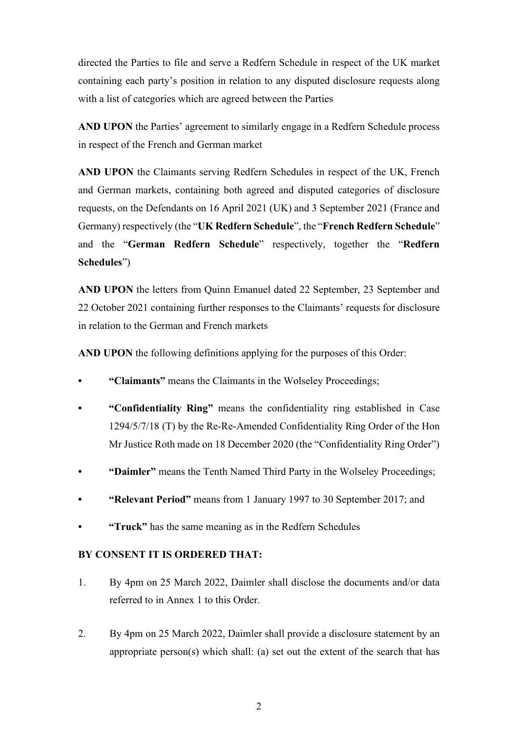directed the Parties to file and serve a Redfern Schedule in respect of the UK market containing each party's position in relation to any disputed disclosure requests along with a list of categories which are agreed between the Parties

AND UPON the Parties' agreement to similarly engage in a Redfern Schedule process in respect of the French and German market

**AND UPON** the Claimants serving Redfern Schedules in respect of the UK, French and German markets, containing both agreed and disputed categories of disclosure requests, on the Defendants on 16 April 2021 (UK) and 3 September 2021 (France and Germany) respectively (the "**UK Redfern Schedule**", the "**French Redfern Schedule**" and the "**German Redfern Schedule**" respectively, together the "**Redfern Schedules**")

**AND UPON** the letters from Quinn Emanuel dated 22 September, 23 September and 22 October 2021 containing further responses to the Claimants' requests for disclosure in relation to the German and French markets

**AND UPON** the following definitions applying for the purposes of this Order:

- **"Claimants"** means the Claimants in the Wolseley Proceedings;
- **"Confidentiality Ring"** means the confidentiality ring established in Case 1294/5/7/18 (T) by the Re-Re-Amended Confidentiality Ring Order of the Hon Mr Justice Roth made on 18 December 2020 (the "Confidentiality Ring Order")
- **"Daimler"** means the Tenth Named Third Party in the Wolseley Proceedings;
- **"Relevant Period"** means from 1 January 1997 to 30 September 2017; and
- **"Truck"** has the same meaning as in the Redfern Schedules

### **BY CONSENT IT IS ORDERED THAT:**

- 1. By 4pm on 25 March 2022, Daimler shall disclose the documents and/or data referred to in Annex 1 to this Order.
- 2. By 4pm on 25 March 2022, Daimler shall provide a disclosure statement by an appropriate person(s) which shall: (a) set out the extent of the search that has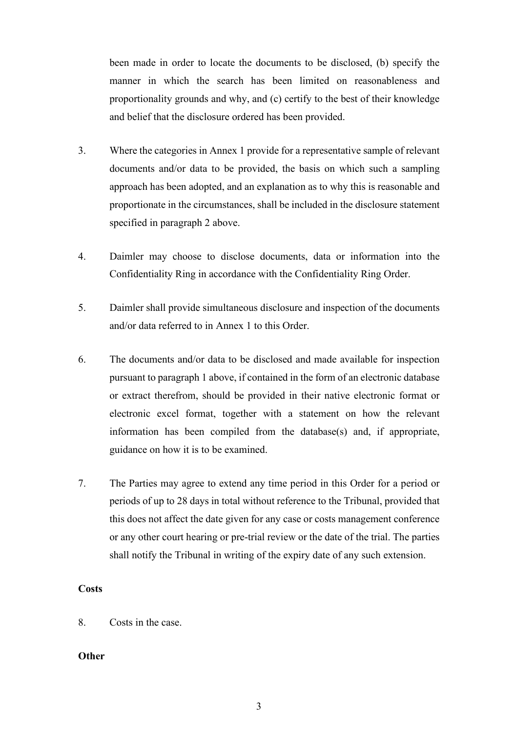been made in order to locate the documents to be disclosed, (b) specify the manner in which the search has been limited on reasonableness and proportionality grounds and why, and (c) certify to the best of their knowledge and belief that the disclosure ordered has been provided.

- 3. Where the categories in Annex 1 provide for a representative sample of relevant documents and/or data to be provided, the basis on which such a sampling approach has been adopted, and an explanation as to why this is reasonable and proportionate in the circumstances, shall be included in the disclosure statement specified in paragraph 2 above.
- 4. Daimler may choose to disclose documents, data or information into the Confidentiality Ring in accordance with the Confidentiality Ring Order.
- 5. Daimler shall provide simultaneous disclosure and inspection of the documents and/or data referred to in Annex 1 to this Order.
- 6. The documents and/or data to be disclosed and made available for inspection pursuant to paragraph 1 above, if contained in the form of an electronic database or extract therefrom, should be provided in their native electronic format or electronic excel format, together with a statement on how the relevant information has been compiled from the database(s) and, if appropriate, guidance on how it is to be examined.
- 7. The Parties may agree to extend any time period in this Order for a period or periods of up to 28 days in total without reference to the Tribunal, provided that this does not affect the date given for any case or costs management conference or any other court hearing or pre-trial review or the date of the trial. The parties shall notify the Tribunal in writing of the expiry date of any such extension.

## **Costs**

8. Costs in the case.

### **Other**